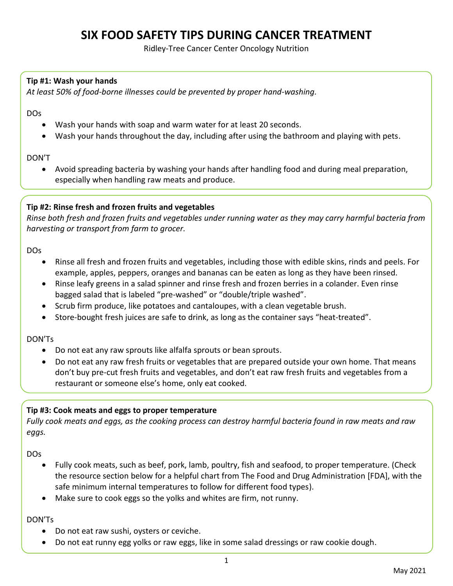## **SIX FOOD SAFETY TIPS DURING CANCER TREATMENT**

Ridley-Tree Cancer Center Oncology Nutrition

#### **Tip #1: Wash your hands**

*At least 50% of food-borne illnesses could be prevented by proper hand-washing.*

DOs

- Wash your hands with soap and warm water for at least 20 seconds.
- Wash your hands throughout the day, including after using the bathroom and playing with pets.

#### DON'T

 Avoid spreading bacteria by washing your hands after handling food and during meal preparation, especially when handling raw meats and produce.

#### **Tip #2: Rinse fresh and frozen fruits and vegetables**

*Rinse both fresh and frozen fruits and vegetables under running water as they may carry harmful bacteria from harvesting or transport from farm to grocer.*

DOs

- Rinse all fresh and frozen fruits and vegetables, including those with edible skins, rinds and peels. For example, apples, peppers, oranges and bananas can be eaten as long as they have been rinsed.
- Rinse leafy greens in a salad spinner and rinse fresh and frozen berries in a colander. Even rinse bagged salad that is labeled "pre-washed" or "double/triple washed".
- Scrub firm produce, like potatoes and cantaloupes, with a clean vegetable brush.
- Store-bought fresh juices are safe to drink, as long as the container says "heat-treated".

#### DON'Ts

- Do not eat any raw sprouts like alfalfa sprouts or bean sprouts.
- Do not eat any raw fresh fruits or vegetables that are prepared outside your own home. That means don't buy pre-cut fresh fruits and vegetables, and don't eat raw fresh fruits and vegetables from a restaurant or someone else's home, only eat cooked.

#### **Tip #3: Cook meats and eggs to proper temperature**

*Fully cook meats and eggs, as the cooking process can destroy harmful bacteria found in raw meats and raw eggs.*

DOs

- Fully cook meats, such as beef, pork, lamb, poultry, fish and seafood, to proper temperature. (Check the resource section below for a helpful chart from The Food and Drug Administration [FDA], with the safe minimum internal temperatures to follow for different food types).
- Make sure to cook eggs so the yolks and whites are firm, not runny.

DON'Ts

- Do not eat raw sushi, oysters or ceviche.
- Do not eat runny egg yolks or raw eggs, like in some salad dressings or raw cookie dough.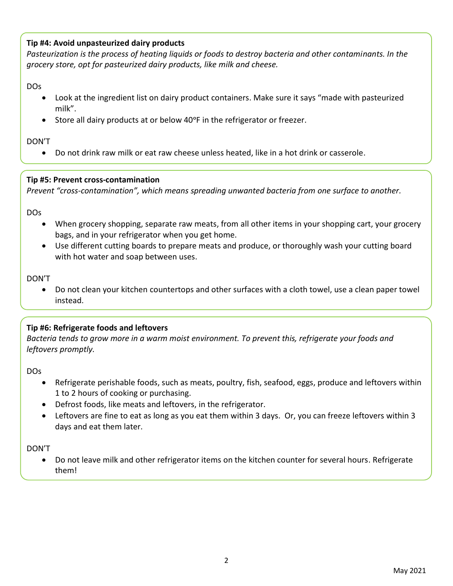#### **Tip #4: Avoid unpasteurized dairy products**

*Pasteurization is the process of heating liquids or foods to destroy bacteria and other contaminants. In the grocery store, opt for pasteurized dairy products, like milk and cheese.* 

#### DOs

- Look at the ingredient list on dairy product containers. Make sure it says "made with pasteurized milk".
- Store all dairy products at or below 40°F in the refrigerator or freezer.

#### DON'T

Do not drink raw milk or eat raw cheese unless heated, like in a hot drink or casserole.

#### **Tip #5: Prevent cross-contamination**

*Prevent "cross-contamination", which means spreading unwanted bacteria from one surface to another.*

DOs

- When grocery shopping, separate raw meats, from all other items in your shopping cart, your grocery bags, and in your refrigerator when you get home.
- Use different cutting boards to prepare meats and produce, or thoroughly wash your cutting board with hot water and soap between uses.

#### DON'T

 Do not clean your kitchen countertops and other surfaces with a cloth towel, use a clean paper towel instead.

#### **Tip #6: Refrigerate foods and leftovers**

*Bacteria tends to grow more in a warm moist environment. To prevent this, refrigerate your foods and leftovers promptly.*

DOs

- Refrigerate perishable foods, such as meats, poultry, fish, seafood, eggs, produce and leftovers within 1 to 2 hours of cooking or purchasing.
- Defrost foods, like meats and leftovers, in the refrigerator.
- Leftovers are fine to eat as long as you eat them within 3 days. Or, you can freeze leftovers within 3 days and eat them later.

#### DON'T

 Do not leave milk and other refrigerator items on the kitchen counter for several hours. Refrigerate them!